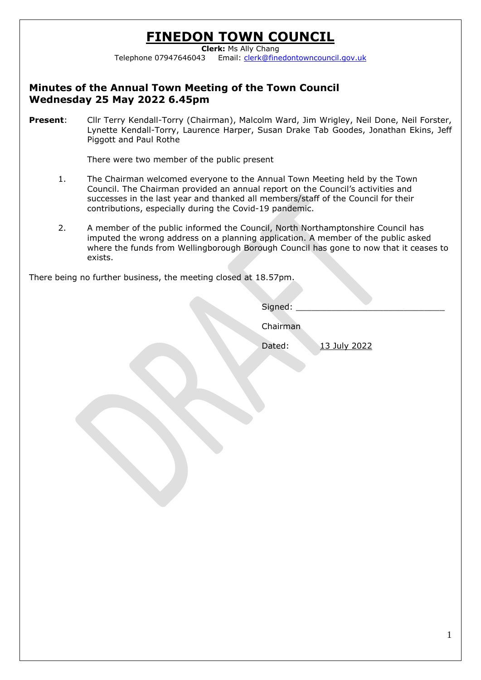# **FINEDON TOWN COUNCIL**

**Clerk:** Ms Ally Chang Telephone 07947646043 Email: [clerk@finedontowncouncil.gov.uk](mailto:clerk@finedontowncouncil.gov.uk)

### **Minutes of the Annual Town Meeting of the Town Council Wednesday 25 May 2022 6.45pm**

**Present**: Cllr Terry Kendall-Torry (Chairman), Malcolm Ward, Jim Wrigley, Neil Done, Neil Forster, Lynette Kendall-Torry, Laurence Harper, Susan Drake Tab Goodes, Jonathan Ekins, Jeff Piggott and Paul Rothe

There were two member of the public present

- 1. The Chairman welcomed everyone to the Annual Town Meeting held by the Town Council. The Chairman provided an annual report on the Council's activities and successes in the last year and thanked all members/staff of the Council for their contributions, especially during the Covid-19 pandemic.
- 2. A member of the public informed the Council, North Northamptonshire Council has imputed the wrong address on a planning application. A member of the public asked where the funds from Wellingborough Borough Council has gone to now that it ceases to exists.

There being no further business, the meeting closed at 18.57pm.

Signed:

Chairman

Dated: 13 July 2022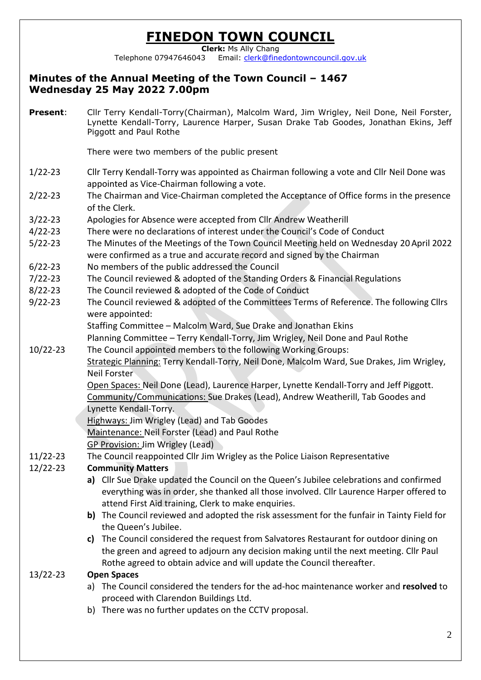# **FINEDON TOWN COUNCIL**

**Clerk:** Ms Ally Chang Telephone 07947646043 Email: [clerk@finedontowncouncil.gov.uk](mailto:clerk@finedontowncouncil.gov.uk)

## **Minutes of the Annual Meeting of the Town Council – 1467 Wednesday 25 May 2022 7.00pm**

**Present**: Cllr Terry Kendall-Torry(Chairman), Malcolm Ward, Jim Wrigley, Neil Done, Neil Forster, Lynette Kendall-Torry, Laurence Harper, Susan Drake Tab Goodes, Jonathan Ekins, Jeff Piggott and Paul Rothe

There were two members of the public present

- 1/22-23 Cllr Terry Kendall-Torry was appointed as Chairman following a vote and Cllr Neil Done was appointed as Vice-Chairman following a vote.
- 2/22-23 The Chairman and Vice-Chairman completed the Acceptance of Office forms in the presence of the Clerk.
- 3/22-23 Apologies for Absence were accepted from Cllr Andrew Weatherill
- 4/22-23 There were no declarations of interest under the Council's Code of Conduct
- 5/22-23 The Minutes of the Meetings of the Town Council Meeting held on Wednesday 20 April 2022 were confirmed as a true and accurate record and signed by the Chairman
- 6/22-23 No members of the public addressed the Council
- 7/22-23 The Council reviewed & adopted of the Standing Orders & Financial Regulations
- 8/22-23 The Council reviewed & adopted of the Code of Conduct
- 9/22-23 The Council reviewed & adopted of the Committees Terms of Reference. The following Cllrs were appointed:

Staffing Committee – Malcolm Ward, Sue Drake and Jonathan Ekins

Planning Committee – Terry Kendall-Torry, Jim Wrigley, Neil Done and Paul Rothe

10/22-23 The Council appointed members to the following Working Groups: Strategic Planning: Terry Kendall-Torry, Neil Done, Malcolm Ward, Sue Drakes, Jim Wrigley, Neil Forster

> Open Spaces: Neil Done (Lead), Laurence Harper, Lynette Kendall-Torry and Jeff Piggott. Community/Communications: Sue Drakes (Lead), Andrew Weatherill, Tab Goodes and Lynette Kendall-Torry.

Highways: Jim Wrigley (Lead) and Tab Goodes

Maintenance: Neil Forster (Lead) and Paul Rothe

GP Provision: Jim Wrigley (Lead)

11/22-23 The Council reappointed Cllr Jim Wrigley as the Police Liaison Representative

### 12/22-23 **Community Matters**

- **a)** Cllr Sue Drake updated the Council on the Queen's Jubilee celebrations and confirmed everything was in order, she thanked all those involved. Cllr Laurence Harper offered to attend First Aid training, Clerk to make enquiries.
- **b)** The Council reviewed and adopted the risk assessment for the funfair in Tainty Field for the Queen's Jubilee.
- **c)** The Council considered the request from Salvatores Restaurant for outdoor dining on the green and agreed to adjourn any decision making until the next meeting. Cllr Paul Rothe agreed to obtain advice and will update the Council thereafter.

#### 13/22-23 **Open Spaces**

- a) The Council considered the tenders for the ad-hoc maintenance worker and **resolved** to proceed with Clarendon Buildings Ltd.
- b) There was no further updates on the CCTV proposal.